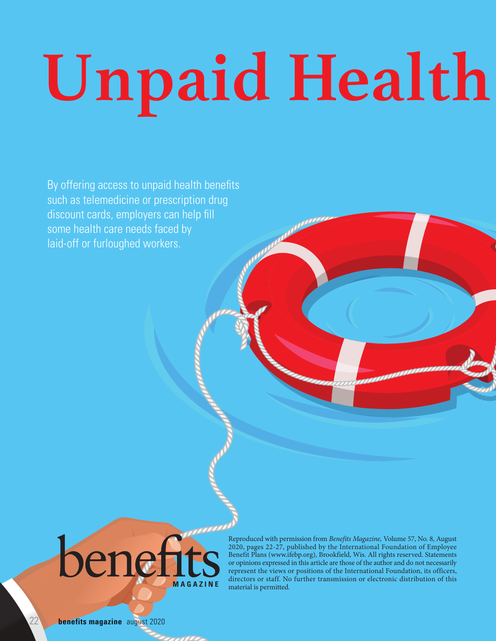# **Unpaid Health**

By offering access to unpaid health benefits such as telemedicine or prescription drug discount cards, employers can help fill some health care needs faced by laid-off or furloughed workers.



Reproduced with permission from *Benefits Magazine,* Volume 57, No. 8, August 2020, pages 22-27, published by the International Foundation of Employee Benefit Plans (www.ifebp.org), Brookfield, Wis. All rights reserved. Statements or opinions expressed in this article are those of the author and do not necessarily represent the views or positions of the International Foundation, its officers, directors or staff. No further transmission or electronic distribution of this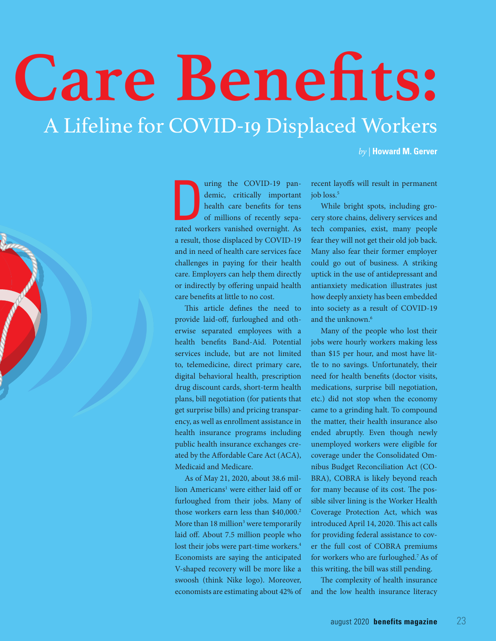# A Lifeline for COVID-19 Displaced Workers **Care Benefits:**

*by |* **Howard M. Gerver**



a particular units are COVID-19 pandemic, critically important health care benefits for tens of millions of recently separated workers vanished overnight. As uring the COVID-19 pandemic, critically important health care benefits for tens of millions of recently sepaa result, those displaced by COVID-19 and in need of health care services face challenges in paying for their health care. Employers can help them directly or indirectly by offering unpaid health care benefits at little to no cost.

This article defines the need to provide laid-off, furloughed and otherwise separated employees with a health benefits Band-Aid. Potential services include, but are not limited to, telemedicine, direct primary care, digital behavioral health, prescription drug discount cards, short-term health plans, bill negotiation (for patients that get surprise bills) and pricing transparency, as well as enrollment assistance in health insurance programs including public health insurance exchanges created by the Affordable Care Act (ACA), Medicaid and Medicare.

As of May 21, 2020, about 38.6 million Americans<sup>1</sup> were either laid off or furloughed from their jobs. Many of those workers earn less than \$40,000.<sup>2</sup> More than 18 million<sup>3</sup> were temporarily laid off. About 7.5 million people who lost their jobs were part-time workers.<sup>4</sup> Economists are saying the anticipated V-shaped recovery will be more like a swoosh (think Nike logo). Moreover, economists are estimating about 42% of recent layoffs will result in permanent job loss.<sup>5</sup>

While bright spots, including grocery store chains, delivery services and tech companies, exist, many people fear they will not get their old job back. Many also fear their former employer could go out of business. A striking uptick in the use of antidepressant and antianxiety medication illustrates just how deeply anxiety has been embedded into society as a result of COVID-19 and the unknown.<sup>6</sup>

Many of the people who lost their jobs were hourly workers making less than \$15 per hour, and most have little to no savings. Unfortunately, their need for health benefits (doctor visits, medications, surprise bill negotiation, etc.) did not stop when the economy came to a grinding halt. To compound the matter, their health insurance also ended abruptly. Even though newly unemployed workers were eligible for coverage under the Consolidated Omnibus Budget Reconciliation Act (CO-BRA), COBRA is likely beyond reach for many because of its cost. The possible silver lining is the Worker Health Coverage Protection Act, which was introduced April 14, 2020. This act calls for providing federal assistance to cover the full cost of COBRA premiums for workers who are furloughed.7 As of this writing, the bill was still pending.

The complexity of health insurance and the low health insurance literacy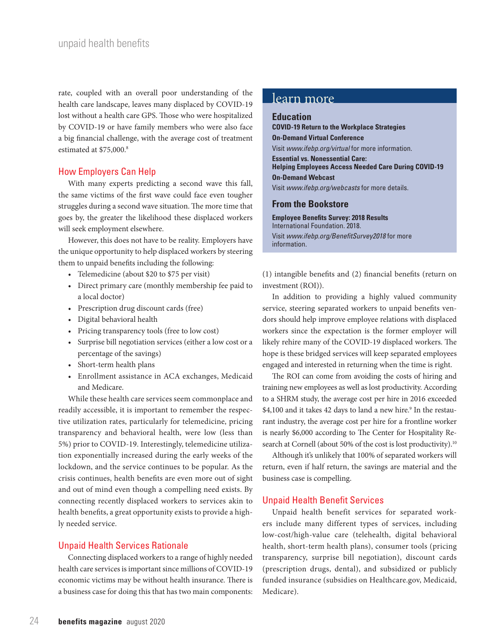rate, coupled with an overall poor understanding of the health care landscape, leaves many displaced by COVID-19 lost without a health care GPS. Those who were hospitalized by COVID-19 or have family members who were also face a big financial challenge, with the average cost of treatment estimated at \$75,000.8

# How Employers Can Help

With many experts predicting a second wave this fall, the same victims of the first wave could face even tougher struggles during a second wave situation. The more time that goes by, the greater the likelihood these displaced workers will seek employment elsewhere.

However, this does not have to be reality. Employers have the unique opportunity to help displaced workers by steering them to unpaid benefits including the following:

- Telemedicine (about \$20 to \$75 per visit)
- Direct primary care (monthly membership fee paid to a local doctor)
- Prescription drug discount cards (free)
- Digital behavioral health
- Pricing transparency tools (free to low cost)
- Surprise bill negotiation services (either a low cost or a percentage of the savings)
- Short-term health plans
- Enrollment assistance in ACA exchanges, Medicaid and Medicare.

While these health care services seem commonplace and readily accessible, it is important to remember the respective utilization rates, particularly for telemedicine, pricing transparency and behavioral health, were low (less than 5%) prior to COVID-19. Interestingly, telemedicine utilization exponentially increased during the early weeks of the lockdown, and the service continues to be popular. As the crisis continues, health benefits are even more out of sight and out of mind even though a compelling need exists. By connecting recently displaced workers to services akin to health benefits, a great opportunity exists to provide a highly needed service.

# Unpaid Health Services Rationale

Connecting displaced workers to a range of highly needed health care services is important since millions of COVID-19 economic victims may be without health insurance. There is a business case for doing this that has two main components:

# learn more

# **Education**

**COVID-19 Return to the Workplace Strategies On-Demand Virtual Conference**  Visit *www.ifebp.org/virtual* for more information. **Essential vs. Nonessential Care: Helping Employees Access Needed Care During COVID-19 On-Demand Webcast** Visit *www.ifebp.org/webcasts* for more details.

# **From the Bookstore**

**Employee Benefits Survey: 2018 Results** International Foundation. 2018. Visit *www.ifebp.org/BenefitSurvey2018* for more information.

(1) intangible benefits and (2) financial benefits (return on investment (ROI)).

In addition to providing a highly valued community service, steering separated workers to unpaid benefits vendors should help improve employee relations with displaced workers since the expectation is the former employer will likely rehire many of the COVID-19 displaced workers. The hope is these bridged services will keep separated employees engaged and interested in returning when the time is right.

The ROI can come from avoiding the costs of hiring and training new employees as well as lost productivity. According to a SHRM study, the average cost per hire in 2016 exceeded \$4,100 and it takes 42 days to land a new hire.<sup>9</sup> In the restaurant industry, the average cost per hire for a frontline worker is nearly \$6,000 according to The Center for Hospitality Research at Cornell (about 50% of the cost is lost productivity).<sup>10</sup>

Although it's unlikely that 100% of separated workers will return, even if half return, the savings are material and the business case is compelling.

# Unpaid Health Benefit Services

Unpaid health benefit services for separated workers include many different types of services, including low-cost/high-value care (telehealth, digital behavioral health, short-term health plans), consumer tools (pricing transparency, surprise bill negotiation), discount cards (prescription drugs, dental), and subsidized or publicly funded insurance (subsidies on Healthcare.gov, Medicaid, Medicare).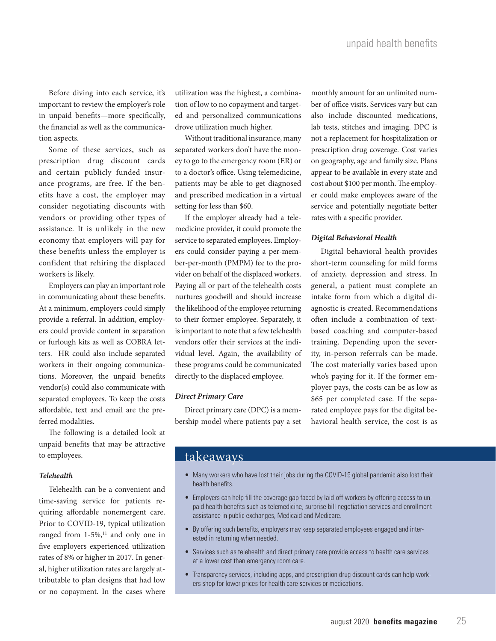Before diving into each service, it's important to review the employer's role in unpaid benefits—more specifically, the financial as well as the communication aspects.

Some of these services, such as prescription drug discount cards and certain publicly funded insurance programs, are free. If the benefits have a cost, the employer may consider negotiating discounts with vendors or providing other types of assistance. It is unlikely in the new economy that employers will pay for these benefits unless the employer is confident that rehiring the displaced workers is likely.

Employers can play an important role in communicating about these benefits. At a minimum, employers could simply provide a referral. In addition, employers could provide content in separation or furlough kits as well as COBRA letters. HR could also include separated workers in their ongoing communications. Moreover, the unpaid benefits vendor(s) could also communicate with separated employees. To keep the costs affordable, text and email are the preferred modalities.

The following is a detailed look at unpaid benefits that may be attractive to employees.

# *Telehealth*

Telehealth can be a convenient and time-saving service for patients requiring affordable nonemergent care. Prior to COVID-19, typical utilization ranged from  $1-5\%$ ,<sup>11</sup> and only one in five employers experienced utilization rates of 8% or higher in 2017. In general, higher utilization rates are largely attributable to plan designs that had low or no copayment. In the cases where

utilization was the highest, a combination of low to no copayment and targeted and personalized communications drove utilization much higher.

Without traditional insurance, many separated workers don't have the money to go to the emergency room (ER) or to a doctor's office. Using telemedicine, patients may be able to get diagnosed and prescribed medication in a virtual setting for less than \$60.

If the employer already had a telemedicine provider, it could promote the service to separated employees. Employers could consider paying a per-member-per-month (PMPM) fee to the provider on behalf of the displaced workers. Paying all or part of the telehealth costs nurtures goodwill and should increase the likelihood of the employee returning to their former employee. Separately, it is important to note that a few telehealth vendors offer their services at the individual level. Again, the availability of these programs could be communicated directly to the displaced employee.

#### *Direct Primary Care*

Direct primary care (DPC) is a membership model where patients pay a set monthly amount for an unlimited number of office visits. Services vary but can also include discounted medications, lab tests, stitches and imaging. DPC is not a replacement for hospitalization or prescription drug coverage. Cost varies on geography, age and family size. Plans appear to be available in every state and cost about \$100 per month. The employer could make employees aware of the service and potentially negotiate better rates with a specific provider.

# *Digital Behavioral Health*

Digital behavioral health provides short-term counseling for mild forms of anxiety, depression and stress. In general, a patient must complete an intake form from which a digital diagnostic is created. Recommendations often include a combination of textbased coaching and computer-based training. Depending upon the severity, in-person referrals can be made. The cost materially varies based upon who's paying for it. If the former employer pays, the costs can be as low as \$65 per completed case. If the separated employee pays for the digital behavioral health service, the cost is as

# takeaways

- Many workers who have lost their jobs during the COVID-19 global pandemic also lost their health benefits.
- Employers can help fill the coverage gap faced by laid-off workers by offering access to unpaid health benefits such as telemedicine, surprise bill negotiation services and enrollment assistance in public exchanges, Medicaid and Medicare.
- By offering such benefits, employers may keep separated employees engaged and interested in returning when needed.
- Services such as telehealth and direct primary care provide access to health care services at a lower cost than emergency room care.
- Transparency services, including apps, and prescription drug discount cards can help workers shop for lower prices for health care services or medications.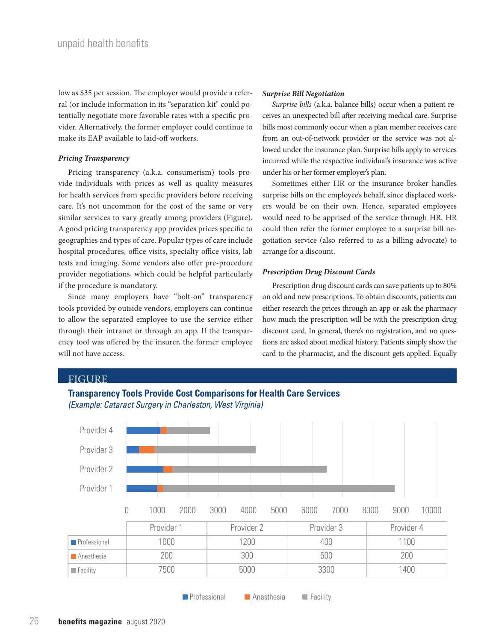low as \$35 per session. The employer would provide a referral (or include information in its "separation kit" could potentially negotiate more favorable rates with a specific provider. Alternatively, the former employer could continue to make its EAP available to laid-off workers.

# *Pricing Transparency*

Pricing transparency (a.k.a. consumerism) tools provide individuals with prices as well as quality measures for health services from specific providers before receiving care. It's not uncommon for the cost of the same or very similar services to vary greatly among providers (Figure). A good pricing transparency app provides prices specific to geographies and types of care. Popular types of care include hospital procedures, office visits, specialty office visits, lab tests and imaging. Some vendors also offer pre-procedure provider negotiations, which could be helpful particularly if the procedure is mandatory.

Since many employers have "bolt-on" transparency tools provided by outside vendors, employers can continue to allow the separated employee to use the service either through their intranet or through an app. If the transparency tool was offered by the insurer, the former employee will not have access.

# *Surprise Bill Negotiation*

*Surprise bills* (a.k.a. balance bills) occur when a patient receives an unexpected bill after receiving medical care. Surprise bills most commonly occur when a plan member receives care from an out-of-network provider or the service was not allowed under the insurance plan. Surprise bills apply to services incurred while the respective individual's insurance was active under his or her former employer's plan.

Sometimes either HR or the insurance broker handles surprise bills on the employee's behalf, since displaced workers would be on their own. Hence, separated employees would need to be apprised of the service through HR. HR could then refer the former employee to a surprise bill negotiation service (also referred to as a billing advocate) to arrange for a discount.

# *Prescription Drug Discount Cards*

Prescription drug discount cards can save patients up to 80% on old and new prescriptions. To obtain discounts, patients can either research the prices through an app or ask the pharmacy how much the prescription will be with the prescription drug discount card. In general, there's no registration, and no questions are asked about medical history. Patients simply show the card to the pharmacist, and the discount gets applied. Equally





**Professional Anesthesia Facility**